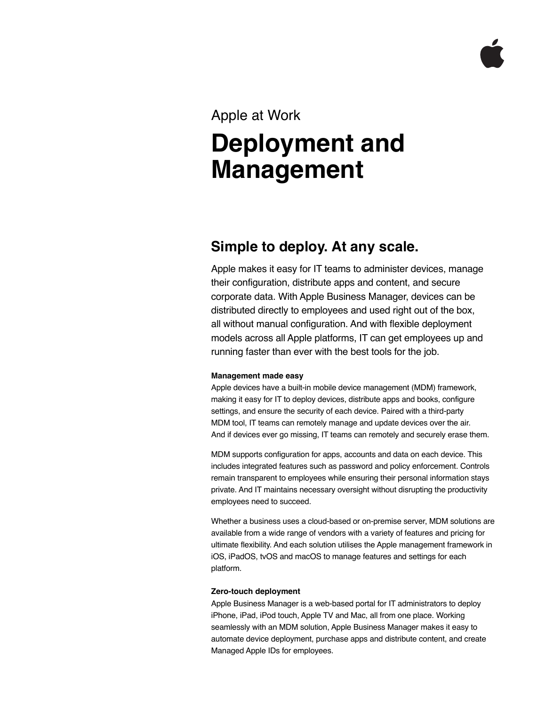### Apple at Work

# **Deployment and Management**

## **Simple to deploy. At any scale.**

Apple makes it easy for IT teams to administer devices, manage their configuration, distribute apps and content, and secure corporate data. With Apple Business Manager, devices can be distributed directly to employees and used right out of the box, all without manual configuration. And with flexible deployment models across all Apple platforms, IT can get employees up and running faster than ever with the best tools for the job.

#### **Management made easy**

Apple devices have a built-in mobile device management (MDM) framework, making it easy for IT to deploy devices, distribute apps and books, configure settings, and ensure the security of each device. Paired with a third-party MDM tool, IT teams can remotely manage and update devices over the air. And if devices ever go missing, IT teams can remotely and securely erase them.

MDM supports configuration for apps, accounts and data on each device. This includes integrated features such as password and policy enforcement. Controls remain transparent to employees while ensuring their personal information stays private. And IT maintains necessary oversight without disrupting the productivity employees need to succeed.

Whether a business uses a cloud-based or on-premise server, MDM solutions are available from a wide range of vendors with a variety of features and pricing for ultimate flexibility. And each solution utilises the Apple management framework in iOS, iPadOS, tvOS and macOS to manage features and settings for each platform.

#### **Zero-touch deployment**

Apple Business Manager is a web-based portal for IT administrators to deploy iPhone, iPad, iPod touch, Apple TV and Mac, all from one place. Working seamlessly with an MDM solution, Apple Business Manager makes it easy to automate device deployment, purchase apps and distribute content, and create Managed Apple IDs for employees.